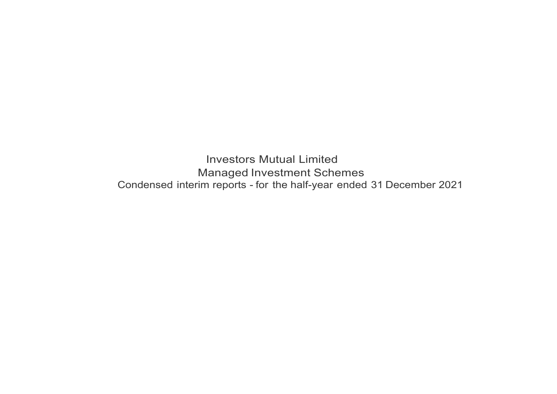Investors Mutual Limited Managed Investment Schemes Condensed interim reports - for the half-year ended 31 December 2021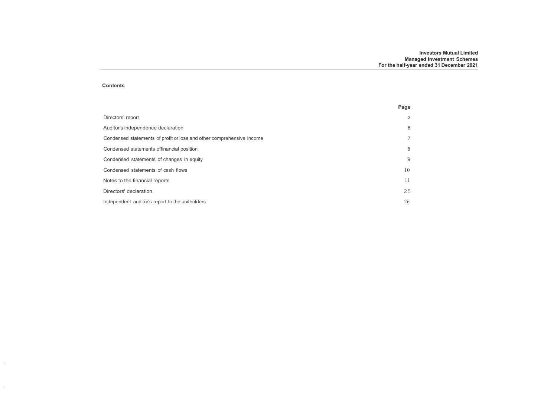## **Contents**

|                                                                       | Page |
|-----------------------------------------------------------------------|------|
| Directors' report                                                     | 3    |
| Auditor's independence declaration                                    | 6    |
| Condensed statements of profit or loss and other comprehensive income | 7    |
| Condensed statements offinancial position                             | 8    |
| Condensed statements of changes in equity                             | 9    |
| Condensed statements of cash flows                                    | 10   |
| Notes to the financial reports                                        | 11   |
| Directors' declaration                                                | 25   |
| Independent auditor's report to the unitholders                       | 26   |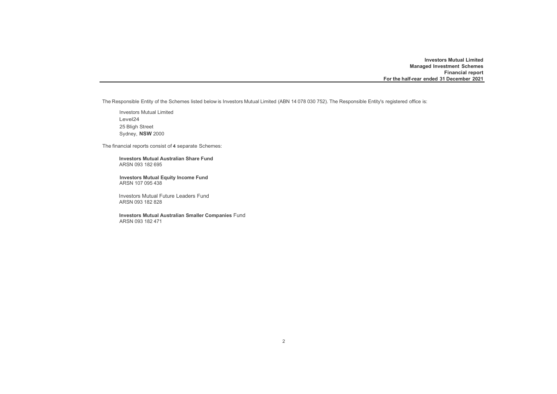**Investors Mutual Limited Managed Investment Schemes Financial report For the half-rear ended 31 December 2021**

The Responsible Entity of the Schemes listed below is Investors Mutual Limited (ABN 14 078 030 752). The Responsible Entity's registered office is:

Investors Mutual Limited Level24 25 Bligh Street Sydney, **NSW** 2000

The financial reports consist of **4** separate Schemes:

**Investors Mutual Australian Share Fund** ARSN 093 182 695

**Investors Mutual Equity Income Fund** ARSN 107 095 438

Investors Mutual Future Leaders Fund ARSN 093 182 828

**Investors Mutual Australian Smaller Companies** Fund ARSN 093 182 471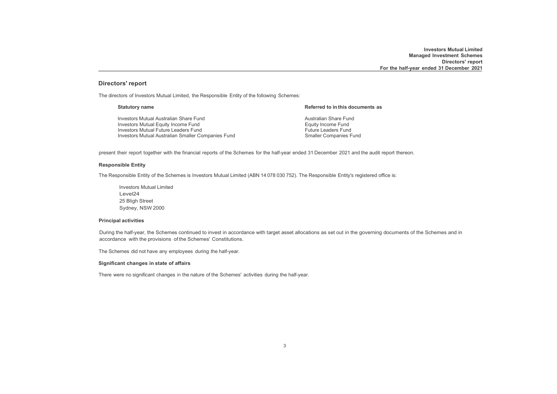## **Directors' report**

The directors of Investors Mutual Limited, the Responsible Entity of the following Schemes:

| <b>Statutory name</b>                              | Referred to in this documents as |
|----------------------------------------------------|----------------------------------|
| Investors Mutual Australian Share Fund             | Australian Share Fund            |
| Investors Mutual Equity Income Fund                | Equity Income Fund               |
| <b>Investors Mutual Future Leaders Fund</b>        | Future Leaders Fund              |
| Investors Mutual Australian Smaller Companies Fund | <b>Smaller Companies Fund</b>    |

present their report together with the financial reports of the Schemes for the half-year ended 31 December 2021 and the audit report thereon.

#### **Responsible Entity**

The Responsible Entity of the Schemes is Investors Mutual Limited (ABN 14 078 030 752). The Responsible Entity's registered office is:

Investors Mutual Limited Level24 25 Bligh Street Sydney, NSW 2000

### **Principal activities**

During the half-year, the Schemes continued to invest in accordance with target asset allocations as set out in the governing documents of the Schemes and in accordance with the provisions of the Schemes' Constitutions.

The Schemes did not have any employees during the half-year.

### **Significant changes in state of affairs**

There were no significant changes in the nature of the Schemes' activities during the half-year.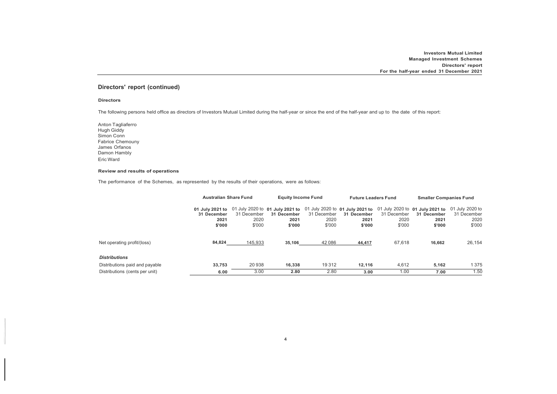## **Directors' report (continued)**

### **Directors**

The following persons held office as directors of Investors Mutual Limited during the half-year or since the end of the half-year and up to the date of this report:

Anton Tagliaferro Hugh Giddy Simon Conn Fabrice Chemouny James Orfanos Damon Hambly Eric Ward

### **Review and results of operations**

The performance of the Schemes, as represented by the results of their operations, were as follows:

|                                | <b>Australian Share Fund</b>                     |                               |                                                                  | <b>Equity Income Fund</b>     |                                                                  | <b>Future Leaders Fund</b>    | <b>Smaller Companies Fund</b>                                    |                                                  |
|--------------------------------|--------------------------------------------------|-------------------------------|------------------------------------------------------------------|-------------------------------|------------------------------------------------------------------|-------------------------------|------------------------------------------------------------------|--------------------------------------------------|
|                                | 01 July 2021 to<br>31 December<br>2021<br>\$'000 | 31 December<br>2020<br>\$'000 | 01 July 2020 to 01 July 2021 to<br>31 December<br>2021<br>\$'000 | 31 December<br>2020<br>\$'000 | 01 July 2020 to 01 July 2021 to<br>31 December<br>2021<br>\$'000 | 31 December<br>2020<br>\$'000 | 01 July 2020 to 01 July 2021 to<br>31 December<br>2021<br>\$'000 | 01 July 2020 to<br>31 December<br>2020<br>\$'000 |
| Net operating profit/(loss)    | 84,824                                           | 145,933                       | 35.106                                                           | 42 086                        | 44.417                                                           | 67,618                        | 16.662                                                           | 26,154                                           |
| <b>Distributions</b>           |                                                  |                               |                                                                  |                               |                                                                  |                               |                                                                  |                                                  |
| Distributions paid and payable | 33.753                                           | 20938                         | 16.338                                                           | 19312                         | 12.116                                                           | 4.612                         | 5.162                                                            | 1375                                             |
| Distributions (cents per unit) | 6.00                                             | 3.00                          | 2.80                                                             | 2.80                          | 3.00                                                             | 1.00                          | 7.00                                                             | 1.50                                             |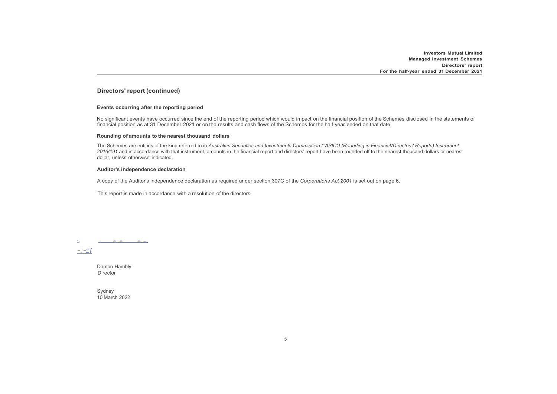**Investors Mutual Limited Managed Investment Schemes Directors' report For the half-year ended 31 December 2021**

## **Directors' report (continued)**

#### **Events occurring after the reporting period**

No significant events have occurred since the end of the reporting period which would impact on the financial position of the Schemes disclosed in the statements of financial position as at 31 December 2021 or on the results and cash flows of the Schemes for the half-year ended on that date.

#### **Rounding of amounts to the nearest thousand dollars**

The Schemes are entities of the kind referred to in *Australian Securities and Investments Commission (''ASIC'J (Rounding in FinanciaVDirectors' Reports) Instrument* 2016/191 and in accordance with that instrument, amounts in the financial report and directors' report have been rounded off to the nearest thousand dollars or nearest dollar, unless otherwise indicated.

#### **Auditor's independence declaration**

A copy of the Auditor's independence declaration as required under section 307C of the *Corporations Act 2001* is set out on page 6.

This report is made in accordance with a resolution of the directors

;<br>;;<sub>;</sub> <u>;; ;;</u>

*-:-zt*

Damon Hambly Director

Sydney 10 March 2022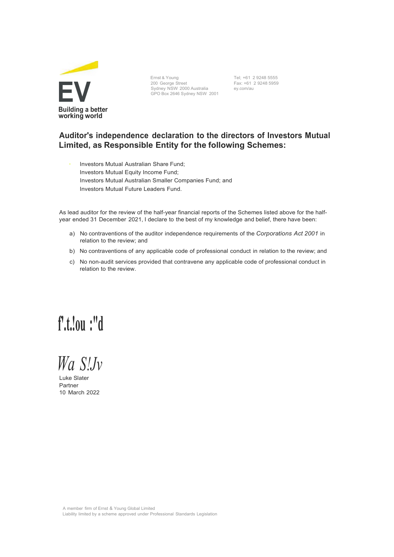

Ernst & Young 200 George Street Sydney NSW 2000 Australia GPO Box 2646 Sydney NSW 2001

Tel; +61 2 9248 5555 Fax: +61 2 9248 5959 ey.com/au

# **Auditor's independence declaration to the directors of Investors Mutual Limited, as Responsible Entity for the following Schemes:**

• Investors Mutual Australian Share Fund; Investors Mutual Equity Income Fund; Investors Mutual Australian Smaller Companies Fund; and Investors Mutual Future Leaders Fund.

As lead auditor for the review of the half-year financial reports of the Schemes listed above for the halfyear ended 31 December 2021, I declare to the best of my knowledge and belief, there have been:

- a) No contraventions of the auditor independence requirements of the *Corporations Act 2001* in relation to the review; and
- b) No contraventions of any applicable code of professional conduct in relation to the review; and
- c) No non-audit services provided that contravene any applicable code of professional conduct in relation to the review.

# **<sup>f</sup>'.t.!ou :"d**

*Wa S!Jv*

Luke Slater Partner 10 March 2022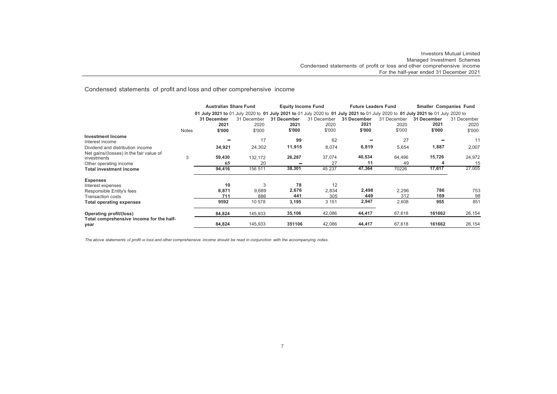Condensed statements of profit and loss and other comprehensive income

|                                                                             |       | <b>Australian Share Fund</b>                                                                                                    |             |             | <b>Equity Income Fund</b> |             | <b>Future Leaders Fund</b> |             | <b>Smaller Companies Fund</b> |  |
|-----------------------------------------------------------------------------|-------|---------------------------------------------------------------------------------------------------------------------------------|-------------|-------------|---------------------------|-------------|----------------------------|-------------|-------------------------------|--|
|                                                                             |       | 01 July 2021 to 01 July 2020 to 01 July 2021 to 01 July 2020 to 01 July 2021 to 01 July 2020 to 01 July 2021 to 01 July 2020 to |             |             |                           |             |                            |             |                               |  |
|                                                                             |       | 31 December                                                                                                                     | 31 December | 31 December | 31 December               | 31 December | 31 December                | 31 December | 31 December                   |  |
|                                                                             |       | 2021                                                                                                                            | 2020        | 2021        | 2020                      | 2021        | 2020                       | 2021        | 2020                          |  |
|                                                                             | Notes | \$'000                                                                                                                          | \$'000      | \$'000      | \$'000                    | \$'000      | \$'000                     | \$'000      | \$'000                        |  |
| Investment Income<br>Interest income                                        |       |                                                                                                                                 | 17          | 99          | 62                        |             | 27                         |             | -11                           |  |
| Dividend and distribution income<br>Net gains/(losses) in the fair value of |       | 34,921                                                                                                                          | 24,302      | 11,915      | 8,074                     | 6,819       | 5,654                      | 1,887       | 2,007                         |  |
| investments                                                                 | 3     | 59,430                                                                                                                          | 132,172     | 26,287      | 37,074                    | 40,534      | 64,496                     | 15,726      | 24,972                        |  |
| Other operating income                                                      |       | 65                                                                                                                              | 20          |             | 27                        | 11          | 49                         |             | 15                            |  |
| <b>Total investment income</b>                                              |       | 94,416                                                                                                                          | 156 511     | 38,301      | 45 237                    | 47,364      | 70226                      | 17,617      | 27,005                        |  |
| <b>Expenses</b>                                                             |       |                                                                                                                                 |             |             |                           |             |                            |             |                               |  |
| Interest expenses                                                           |       | 10                                                                                                                              | 3           | 78          | 12                        |             |                            |             |                               |  |
| Responsible Entity's fees                                                   |       | 8,871                                                                                                                           | 9,689       | 2,676       | 2,834                     | 2,498       | 2,296                      | 786         | 753                           |  |
| <b>Transaction costs</b>                                                    |       | 711                                                                                                                             | 886         | 441         | 305                       | 449         | 312                        | 169         | 98                            |  |
| <b>Total operating expenses</b>                                             |       | 9592                                                                                                                            | 10578       | 3,195       | 3 1 5 1                   | 2,947       | 2,608                      | 955         | 851                           |  |
| Operating profit/(loss)                                                     |       | 84,824                                                                                                                          | 145,933     | 35,106      | 42,086                    | 44,417      | 67,618                     | 161662      | 26,154                        |  |
| Total comprehensive income for the half-<br>year                            |       | 84,824                                                                                                                          | 145,933     | 351106      | 42,086                    | 44,417      | 67,618                     | 161662      | 26,154                        |  |

The above statements of profit or loss and other comprehensive income should be read in conjunction with the accompanying notes.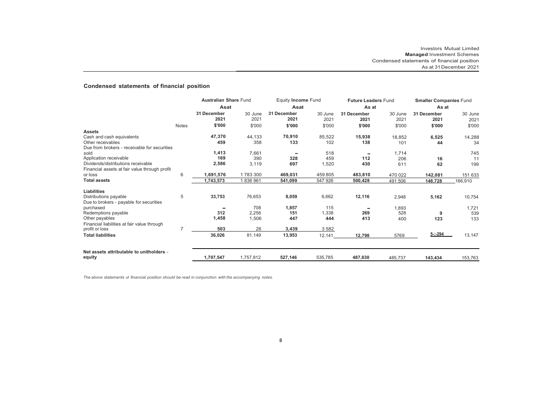# **Condensed statements of financial position**

|                                                                                        |                | <b>Australian Share Fund</b> |                 |                     | Equity Income Fund |                     | <b>Future Leaders Fund</b> | <b>Smaller Companies Fund</b> |                 |
|----------------------------------------------------------------------------------------|----------------|------------------------------|-----------------|---------------------|--------------------|---------------------|----------------------------|-------------------------------|-----------------|
|                                                                                        |                | Asat                         |                 | Asat                |                    | As at               |                            | As at                         |                 |
|                                                                                        |                | 31 December<br>2021          | 30 June<br>2021 | 31 December<br>2021 | 30 June<br>2021    | 31 December<br>2021 | 30 June<br>2021            | 31 December<br>2021           | 30 June<br>2021 |
|                                                                                        | <b>Notes</b>   | \$'000                       | \$'000          | \$'000              | \$'000             | \$'000              | \$'000                     | \$'000                        | \$'000          |
| <b>Assets</b><br>Cash and cash equivalents<br>Other receivables                        |                | 47,370<br>459                | 44.133<br>358   | 70,910<br>133       | 85,522<br>102      | 15,938<br>138       | 18,852<br>101              | 6,525<br>44                   | 14,288<br>34    |
| Due from brokers - receivable for securities<br>sold<br>Application receivable         |                | 1,413<br>169                 | 7.661<br>390    | 328                 | 518<br>459         | 112                 | 1,714<br>206               | 16                            | 745<br>11       |
| Dividends/distributions receivable<br>Financial assets at fair value through profit    |                | 2,586                        | 3,119           | 697                 | 1,520              | 430                 | 611                        | 62                            | 199             |
| or loss                                                                                | 6              | 1,691,576                    | 1783300         | 469,031             | 459 805            | 483,810             | 470 022                    | 142,081                       | 151 633         |
| <b>Total assets</b>                                                                    |                | 1,743,573                    | 838 961         | 541,099             | 547 926            | 500,428             | 491 506                    | 148,728                       | 166,910         |
| <b>Liabilities</b><br>Distributions payable<br>Due to brokers - payable for securities | 5              | 33,753                       | 76,653          | 8,059               | 6,662              | 12,116              | 2,948                      | 5,162                         | 10,754          |
| purchased<br>Redemptions payable                                                       |                | 312                          | 708<br>2,256    | 1,857<br>151        | 115<br>1,338       | 269                 | 1,893<br>528               | 9                             | 1,721<br>539    |
| Other payables<br>Financial liabilities at fair value through<br>profit or loss        | $\overline{7}$ | 1,458<br>503                 | 1,506<br>26     | 447<br>3,439        | 444<br>3582        | 413                 | 400                        | 123                           | 133             |
| <b>Total liabilities</b>                                                               |                | 36,026                       | 81,149          | 13,953              | 12,141             | 12,798              | 5769                       | 5-;-294                       | 13,147          |
| Net assets attributable to unitholders -<br>equity                                     |                | 1,707,547                    | 1,757,812       | 527,146             | 535,785            | 487,630             | 485,737                    | 143,434                       | 153,763         |

*The above statements* of *financial position should be read in conjunction with the accompanying notes.*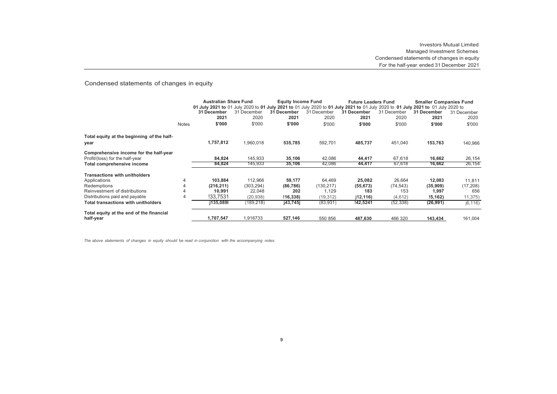# Condensed statements of changes in equity

|                                            |              | <b>Australian Share Fund</b>                                                                                                    |             | <b>Equity Income Fund</b> |             | <b>Future Leaders Fund</b> |             | <b>Smaller Companies Fund</b> |             |
|--------------------------------------------|--------------|---------------------------------------------------------------------------------------------------------------------------------|-------------|---------------------------|-------------|----------------------------|-------------|-------------------------------|-------------|
|                                            |              | 01 July 2021 to 01 July 2020 to 01 July 2021 to 01 July 2020 to 01 July 2021 to 01 July 2020 to 01 July 2021 to 01 July 2020 to |             |                           |             |                            |             |                               |             |
|                                            |              | 31 December                                                                                                                     | 31 December | 31 December               | 31 December | 31 December                | 31 December | 31 December                   | 31 December |
|                                            |              | 2021                                                                                                                            | 2020        | 2021                      | 2020        | 2021                       | 2020        | 2021                          | 2020        |
|                                            | <b>Notes</b> | \$'000                                                                                                                          | \$'000      | \$'000                    | \$'000      | \$'000                     | \$'000      | \$'000                        | \$'000      |
| Total equity at the beginning of the half- |              |                                                                                                                                 |             |                           |             |                            |             |                               |             |
| year                                       |              | 1,757,812                                                                                                                       | 1,960,018   | 535,785                   | 592,701     | 485,737                    | 451,040     | 153,763                       | 140,966     |
| Comprehensive income for the half-year     |              |                                                                                                                                 |             |                           |             |                            |             |                               |             |
| Profit/(loss) for the half-year            |              | 84,824                                                                                                                          | 145.933     | 35,106                    | 42,086      | 44,417                     | 67,618      | 16,662                        | 26,154      |
| Total comprehensive income                 |              | 84,824                                                                                                                          | 145,933     | 35,106                    | 42,086      | 44,417                     | 67,618      | 16,662                        | 26,154      |
| <b>Transactions with unitholders</b>       |              |                                                                                                                                 |             |                           |             |                            |             |                               |             |
| Applications                               |              | 103,884                                                                                                                         | 112.966     | 59,177                    | 64.469      | 25,082                     | 26,664      | 12,083                        | 11,811      |
| Redemptions                                |              | (216, 211)                                                                                                                      | (303, 294)  | (86, 786)                 | (130, 217)  | (55, 673)                  | (74, 543)   | (35,909)                      | (17, 208)   |
| Reinvestment of distributions              |              | 10,991                                                                                                                          | 22,048      | 202                       | 1,129       | 183                        | 153         | 1,997                         | 656         |
| Distributions paid and payable             |              | !33.7531                                                                                                                        | (20, 938)   | !16,338)                  | (19, 312)   | j12,116)                   | (4,612)     | 15,162                        | 11,375)     |
| <b>Total transactions with unitholders</b> |              | j135,089l                                                                                                                       | 189,218     | j43,745j                  | (83, 931)   | !42,5241                   | (52, 338)   | (26, 991)                     | (6, 116)    |
| Total equity at the end of the financial   |              |                                                                                                                                 |             |                           |             |                            |             |                               |             |
| half-year                                  |              | 1,707,547                                                                                                                       | 1.916733    | 527,146                   | 550 856     | 487.630                    | 466 320     | 143,434                       | 161,004     |

*The above statements of changes in equity should* be *read in conjunction with the accompanying notes.*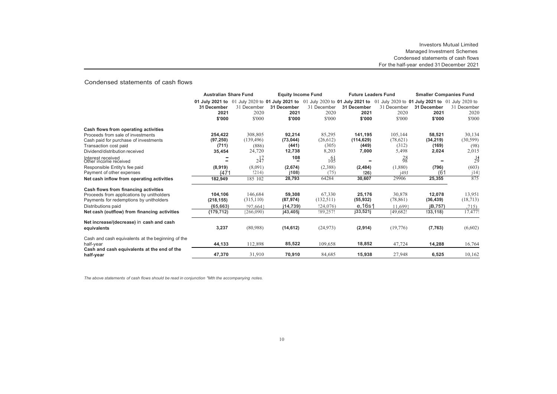Investors Mutual Limited Managed Investment Schemes Condensed statements of cash flows For the half-year ended 31 December 2021

# Condensed statements of cash flows

|                                                                                                                                                                               | <b>Australian Share Fund</b>            |                                          |                                                                                                                                                | <b>Equity Income Fund</b>            |                                         | <b>Future Leaders Fund</b>            | <b>Smaller Companies Fund</b>         |                                      |
|-------------------------------------------------------------------------------------------------------------------------------------------------------------------------------|-----------------------------------------|------------------------------------------|------------------------------------------------------------------------------------------------------------------------------------------------|--------------------------------------|-----------------------------------------|---------------------------------------|---------------------------------------|--------------------------------------|
|                                                                                                                                                                               | 31 December                             | 31 December                              | 01 July 2021 to 01 July 2020 to 01 July 2021 to 01 July 2020 to 01 July 2021 to 01 July 2020 to 01 July 2021 to 01 July 2020 to<br>31 December | 31 December                          | 31 December                             | 31 December                           | 31 December                           | 31 December                          |
|                                                                                                                                                                               | 2021                                    | 2020                                     | 2021                                                                                                                                           | 2020                                 | 2021                                    | 2020                                  | 2021                                  | 2020                                 |
|                                                                                                                                                                               | \$'000                                  | \$'000                                   | \$'000                                                                                                                                         | \$'000                               | \$'000                                  | \$'000                                | \$'000                                | \$'000                               |
| Cash flows from operating activities<br>Proceeds from sale of investments<br>Cash paid for purchase of investments<br>Transaction cost paid<br>Dividend/distribution received | 254.422<br>(97, 250)<br>(711)<br>35,454 | 308,805<br>(139, 496)<br>(886)<br>24,720 | 92.214<br>(73, 044)<br>(441)<br>12,738                                                                                                         | 85,295<br>(26,612)<br>(305)<br>8,203 | 141.195<br>(114, 629)<br>(449)<br>7,000 | 105.144<br>(78,621)<br>(312)<br>5,498 | 58.521<br>(34, 219)<br>(169)<br>2,024 | 30.134<br>(30, 599)<br>(98)<br>2,015 |
| Interest received<br>Other income received                                                                                                                                    |                                         | $2\frac{17}{2}$                          | 108                                                                                                                                            | $10^{61}$                            |                                         | 38                                    |                                       | $\frac{1}{2}$                        |
| Responsible Entity's fee paid<br>Payment of other expenses                                                                                                                    | (8,919)<br>{471                         | (8,091)<br>!214)                         | (2,674)<br>j108)                                                                                                                               | (2,388)<br>(75)                      | (2, 484)<br>!26)                        | (1,880)<br>i49J                       | (796)<br>(61                          | (603)<br>j14                         |
| Net cash inflow from operating activities                                                                                                                                     | 182,949                                 | 185 102                                  | 28,793                                                                                                                                         | 64284                                | 30,607                                  | 29906                                 | 25,355                                | 875                                  |
| Cash flows from financing activities<br>Proceeds from applications by unitholders<br>Payments for redemptions by unitholders                                                  | 104,106<br>(218, 155)                   | 146,684<br>(315, 110)                    | 59,308<br>(87, 974)                                                                                                                            | 67,330<br>(132, 511)                 | 25,176<br>(55, 932)                     | 30,878<br>(78, 861)                   | 12,078<br>(36, 439)                   | 13,951<br>(18,713)                   |
| Distributions paid                                                                                                                                                            | (65, 663)                               | !97,664                                  | j14,739)                                                                                                                                       | !24,076                              | e,16s1                                  | 11.6993                               | jB,757)                               | (715)                                |
| Net cash (outflow) from financing activities                                                                                                                                  | (179, 712)                              | (266,090)                                | j43,405j                                                                                                                                       | !89,257!                             | j33,521j                                | [49,682]                              | 133, 118                              | 17,477!                              |
| Net increase/(decrease) in cash and cash<br>equivalents                                                                                                                       | 3,237                                   | (80,988)                                 | (14, 612)                                                                                                                                      | (24, 973)                            | (2,914)                                 | (19,776)                              | (7, 763)                              | (6,602)                              |
| Cash and cash equivalents at the beginning of the<br>half-year                                                                                                                | 44,133                                  | 112,898                                  | 85,522                                                                                                                                         | 109,658                              | 18,852                                  | 47,724                                | 14,288                                | 16,764                               |
| Cash and cash equivalents at the end of the<br>half-year                                                                                                                      | 47,370                                  | 31,910                                   | 70,910                                                                                                                                         | 84,685                               | 15,938                                  | 27,948                                | 6,525                                 | 10,162                               |

*The above statements of cash flows should be read in conjunction "Mth the accompanying notes.*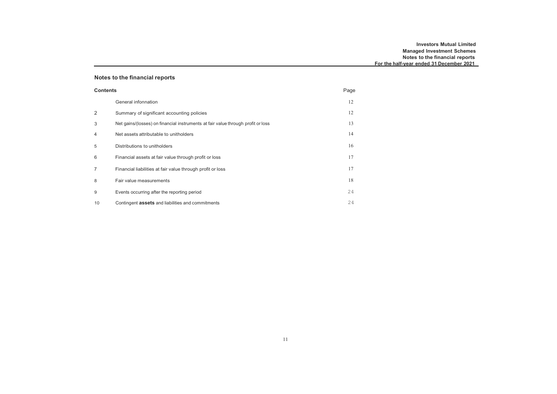# **Notes to the financial reports**

| <b>Contents</b> |                                                                                  | Page |
|-----------------|----------------------------------------------------------------------------------|------|
|                 | General infonnation                                                              | 12   |
| 2               | Summary of significant accounting policies                                       | 12   |
| 3               | Net gains/(losses) on financial instruments at fair value through profit or loss | 13   |
| $\overline{4}$  | Net assets attributable to unitholders                                           | 14   |
| 5               | Distributions to unitholders                                                     | 16   |
| 6               | Financial assets at fair value through profit or loss                            | 17   |
| 7               | Financial liabilities at fair value through profit or loss                       | 17   |
| 8               | Fair value measurements                                                          | 18   |
| 9               | Events occurring after the reporting period                                      | 24   |
| 10              | Contingent <b>assets</b> and liabilities and commitments                         | 24   |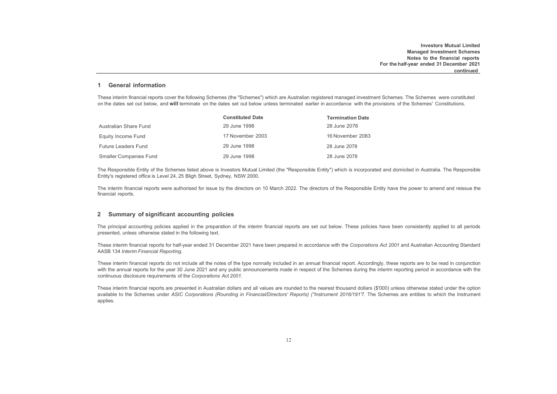## **1 General information**

These interim financial reports cover the following Schemes (the "Schemes") which are Australian registered managed investment Schemes. The Schemes were constituted on the dates set out below, and **will** terminate on the dates set out below unless terminated earlier in accordance with the provisions of the Schemes' Constitutions.

|                               | <b>Constituted Date</b> | <b>Termination Date</b> |
|-------------------------------|-------------------------|-------------------------|
| Australian Share Fund         | 29 June 1998            | 28 June 2078            |
| Equity Income Fund            | 17 November 2003        | 16 November 2083        |
| <b>Future Leaders Fund</b>    | 29 June 1998            | 28 June 2078            |
| <b>Smaller Companies Fund</b> | 29 June 1998            | 28 June 2078            |

The Responsible Entity of the Schemes listed above is Investors Mutual Limited (the "Responsible Entity") which is incorporated and domiciled in Australia. The Responsible Entity's registered office is Level 24, 25 Bligh Street, Sydney, NSW 2000.

The interim financial reports were authorised for issue by the directors on 10 March 2022. The directors of the Responsible Entity have the power to amend and reissue the financial reports.

## <span id="page-12-0"></span>**2 Summary of significant accounting policies**

The principal accounting policies applied in the preparation of the interim financial reports are set out below. These policies have been consistently applied to all periods presented, unless otherwise stated in the following text.

These interim financial reports for half-year ended 31 December 2021 have been prepared in accordance with the *Corporations Act 2001* and Australian Accounting Standard AASB 134 *Interim Financial Reporting.*

These interim financial reports do not include all the notes of the type nonnally included in an annual financial report. Accordingly, these reports are to be read in conjunction with the annual reports for the year 30 June 2021 and any public announcements made in respect of the Schemes during the interim reporting period in accordance with the continuous disclosure requirements of the *Corporations Act 2001.*

These interim financial reports are presented in Australian dollars and all values are rounded to the nearest thousand dollars (\$'000) unless otherwise stated under the option available to the Schemes under ASIC Corporations (Rounding in Financial/Directors' Reports) ("Instrument 2016/1917. The Schemes are entities to which the Instrument applies.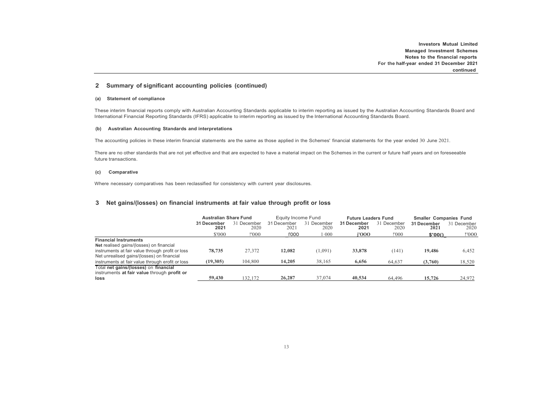## **2 Summary of significant accounting policies (continued)**

#### **(a) Statement of compliance**

These interim financial reports comply with Australian Accounting Standards applicable to interim reporting as issued by the Australian Accounting Standards Board and International Financial Reporting Standards (IFRS) applicable to interim reporting as issued by the International Accounting Standards Board.

#### **(b) Australian Accounting Standards and interpretations**

The accounting policies in these interim financial statements are the same as those applied in the Schemes' financial statements for the year ended 30 June 2021.

There are no other standards that are not yet effective and that are expected to have a material impact on the Schemes in the current or future half years and on foreseeable future transactions.

#### **(c) Comparative**

Where necessary comparatives has been reclassified for consistency with current year disclosures.

## <span id="page-13-0"></span>**3 Net gains/(losses) on financial instruments at fair value through profit or loss**

|                                                                                                | <b>Australian Share Fund</b> |                     | Equity Income Fund  |                     | <b>Future Leaders Fund</b> |                     | <b>Smaller Companies Fund</b> |                     |
|------------------------------------------------------------------------------------------------|------------------------------|---------------------|---------------------|---------------------|----------------------------|---------------------|-------------------------------|---------------------|
|                                                                                                | 31 December<br>2021          | 31 December<br>2020 | 31 December<br>2021 | 31 December<br>2020 | 31 December<br>2021        | 31 December<br>2020 | 31 December<br>2021           | 31 December<br>2020 |
|                                                                                                | \$'000                       | !'000               | rooo                | 000 <sup>1</sup>    | i'000                      | !'000               | \$'00()                       | !'000               |
| <b>Financial Instruments</b>                                                                   |                              |                     |                     |                     |                            |                     |                               |                     |
| Net realised gains/(losses) on financial                                                       |                              |                     |                     |                     |                            |                     |                               |                     |
| instruments at fair value through profit or loss<br>Net unrealised gains/(losses) on financial | 78,735                       | 27,372              | 12,082              | (1,091)             | 33,878                     | (141)               | 19,486                        | 6,452               |
| instruments at fair value through erofit or loss                                               | (19,305)                     | 104,800             | 14,205              | 38,165              | 6.656                      | 64,637              | (3,760)                       | 18,520              |
| Total net gains/(losses) on financial                                                          |                              |                     |                     |                     |                            |                     |                               |                     |
| instruments at fair value through profit or                                                    |                              |                     |                     |                     |                            |                     |                               |                     |
| loss                                                                                           | 59,430                       | 132,172             | 26,287              | 37,074              | 40,534                     | 64,496              | 15,726                        | 24,972              |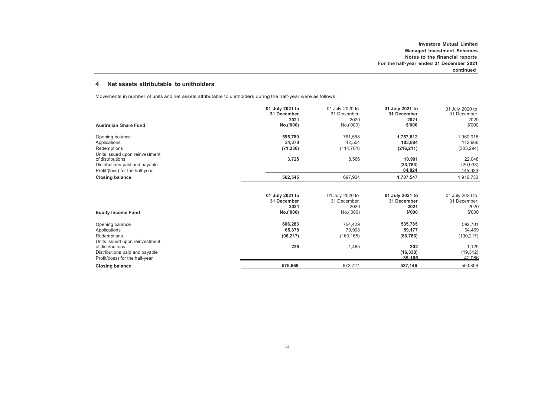# <span id="page-14-0"></span>**4 Net assets attributable to unitholders**

Movements in number of units and net assets attributable to unitholders during the half-year were as follows:

| <b>Australian Share Fund</b>                                                                                            | 01 July 2021 to | 01 July 2020 to | 01 July 2021 to               | 01 July 2020 to                |
|-------------------------------------------------------------------------------------------------------------------------|-----------------|-----------------|-------------------------------|--------------------------------|
|                                                                                                                         | 31 December     | 31 December     | 31 December                   | 31 December                    |
|                                                                                                                         | 2021            | 2020            | 2021                          | 2020                           |
|                                                                                                                         | No.('000)       | No.('000)       | \$'000                        | \$'000                         |
| Opening balance                                                                                                         | 595,780         | 761,558         | 1,757,812                     | 810,069,1                      |
| Applications                                                                                                            | 34.370          | 42.504          | 103.884                       | 112.966                        |
| Redemptions                                                                                                             | (71, 330)       | (114, 704)      | (216, 211)                    | (303, 294)                     |
| Units issued upon reinvestment<br>of distributions<br>Distributions paid and payable<br>Profit/(loss) for the half-year | 3,725           | 8,566           | 10,991<br>(33, 753)<br>84.824 | 22,048<br>(20, 938)<br>145,933 |
| <b>Closing balance</b>                                                                                                  | 562,545         | 697,924         | 1,707,547                     | 1,916,733                      |

|                                 | 01 July 2021 to<br>31 December | 01 July 2020 to<br>31 December | 01 July 2021 to<br>31 December | 01 July 2020 to<br>31 December |
|---------------------------------|--------------------------------|--------------------------------|--------------------------------|--------------------------------|
|                                 | 2021                           | 2020                           | 2021                           | 2020                           |
| <b>Equity Income Fund</b>       | No.('000)                      | No.('000)                      | \$'000                         | \$'000                         |
| Opening balance                 | 606.283                        | 754.429                        | 535,785                        | 592,701                        |
| Applications                    | 65,378                         | 79.998                         | 59,177                         | 64,469                         |
| Redemptions                     | (96, 217)                      | (163, 165)                     | (86, 786)                      | (130, 217)                     |
| Units issued upon reinvestment  |                                |                                |                                |                                |
| of distributions                | 225                            | 1,465                          | 202                            | 1,129                          |
| Distributions paid and payable  |                                |                                | (16, 338)                      | (19, 312)                      |
| Profit/(loss) for the half-year |                                |                                | 35.106                         | 42 086                         |
| <b>Closing balance</b>          | 575,669                        | 672,727                        | 527,146                        | 550,856                        |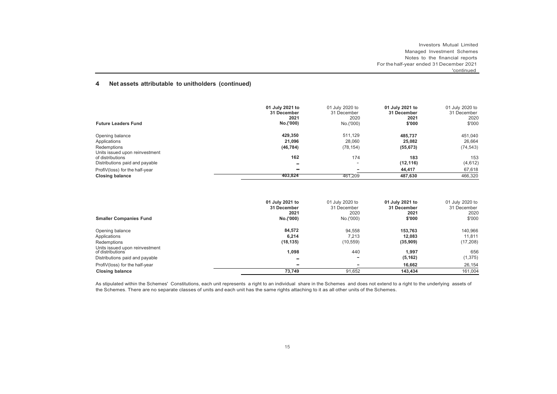| <b>Future Leaders Fund</b>                    | 01 July 2021 to | 01 July 2020 to | 01 July 2021 to | 01 July 2020 to |
|-----------------------------------------------|-----------------|-----------------|-----------------|-----------------|
|                                               | 31 December     | 31 December     | 31 December     | 31 December     |
|                                               | 2021            | 2020            | 2021            | 2020            |
|                                               | No.('000)       | No.('000)       | \$'000          | \$'000          |
| Opening balance                               | 429,350         | 511,129         | 485,737         | 451,040         |
| Applications                                  | 21.096          | 28,060          | 25,082          | 26,664          |
| Redemptions<br>Units issued upon reinvestment | (46, 784)       | (78, 154)       | (55, 673)       | (74, 543)       |
| of distributions                              | 162             | 174             | 183             | 153             |
| Distributions paid and payable                | -               | -               | (12, 116)       | (4, 612)        |
| ProfiV(loss) for the half-year                | $\equiv$        |                 | 44,417          | 67,618          |
| <b>Closing balance</b>                        | 403,824         | 461.209         | 487,630         | 466,320         |

# **4 Net assets attributable to unitholders (continued)**

|                                                                                      | 01 July 2021 to<br>31 December<br>2021 | 01 July 2020 to<br>31 December<br>2020 | 01 July 2021 to<br>31 December<br>2021 | 01 July 2020 to<br>31 December<br>2020 |
|--------------------------------------------------------------------------------------|----------------------------------------|----------------------------------------|----------------------------------------|----------------------------------------|
| <b>Smaller Companies Fund</b>                                                        | No.('000)                              | No.('000)                              | \$'000                                 | \$'000                                 |
| Opening balance                                                                      | 84.572                                 | 94.558                                 | 153,763                                | 140,966                                |
| Applications                                                                         | 6.214                                  | 7.213                                  | 12.083                                 | 11.811                                 |
| Redemptions                                                                          | (18, 135)                              | (10, 559)                              | (35,909)                               | (17,208)                               |
| Units issued upon reinvestment<br>of distributions<br>Distributions paid and payable | 1,098                                  | 440<br>-                               | 1,997<br>(5, 162)                      | 656<br>(1, 375)                        |
| ProfiV(loss) for the half-year                                                       | ۰                                      |                                        | 16,662                                 | 26,154                                 |
| <b>Closing balance</b>                                                               | 73.749                                 | 91,652                                 | 143,434                                | 161,004                                |

As stipulated within the Schemes' Constitutions, each unit represents a right to an individual share in the Schemes and does not extend to a right to the underlying assets of the Schemes. There are no separate classes of units and each unit has the same rights attaching to it as all other units of the Schemes.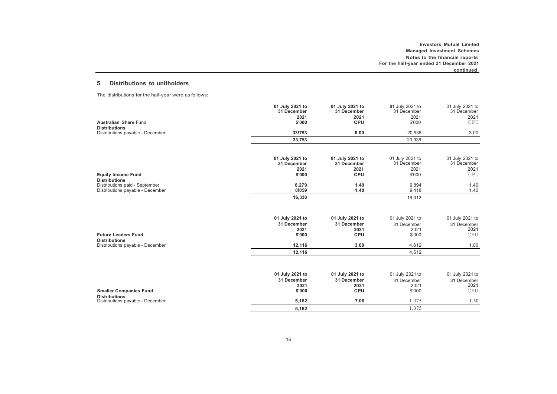# <span id="page-16-0"></span>**5 Distributions to unitholders**

The distributions for the half-year were as follows:

| <b>Australian Share Fund</b>                                                               | 01 July 2021 to<br>31 December<br>2021<br>\$'000 | 01 July 2021 to<br>31 December<br>2021<br>CPU        | 01 July 2021 to<br>31 December<br>2021<br>\$'000 | 01 July 2021 to<br>31 December<br>2021<br>CPU |
|--------------------------------------------------------------------------------------------|--------------------------------------------------|------------------------------------------------------|--------------------------------------------------|-----------------------------------------------|
| <b>Distributions</b>                                                                       |                                                  |                                                      |                                                  |                                               |
| Distributions payable - December                                                           | 33!753                                           | 6.00                                                 | 20,938                                           | 3.00                                          |
|                                                                                            | 33,753                                           |                                                      | 20,938                                           |                                               |
| <b>Equity Income Fund</b>                                                                  | 01 July 2021 to<br>31 December<br>2021<br>\$'000 | 01 July 2021 to<br>31 December<br>2021<br>CPU        | 01 July 2021 to<br>31 December<br>2021<br>\$'000 | 01 July 2021 to<br>31 December<br>2021<br>CPU |
| <b>Distributions</b><br>Distributions paid - September<br>Distributions payable - December | 8,279<br>8!059                                   | 1.40<br>1.40                                         | 9,894<br>9,418                                   | 1.40<br>1.40                                  |
|                                                                                            | 16,338                                           |                                                      | 19.312                                           |                                               |
| <b>Future Leaders Fund</b>                                                                 | 01 July 2021 to<br>31 December<br>2021<br>\$'000 | 01 July 2021 to<br>31 December<br>2021<br><b>CPU</b> | 01 July 2021 to<br>31 December<br>2021<br>\$'000 | 01 July 2021 to<br>31 December<br>2021<br>CPU |
| <b>Distributions</b><br>Distributions payable - December                                   | 12,116                                           | 3.00                                                 | 4.612                                            | 1.00                                          |
|                                                                                            | 12,116                                           |                                                      | 4.612                                            |                                               |
| <b>Smaller Companies Fund</b>                                                              | 01 July 2021 to<br>31 December<br>2021<br>\$'000 | 01 July 2021 to<br>31 December<br>2021<br><b>CPU</b> | 01 July 2021 to<br>31 December<br>2021<br>\$'000 | 01 July 2021 to<br>31 December<br>2021<br>CPU |
| <b>Distributions</b><br>Distributions payable - December                                   | 5,162                                            | 7.00                                                 | 1,375                                            | 1.50                                          |
|                                                                                            | 5,162                                            |                                                      | 1,375                                            |                                               |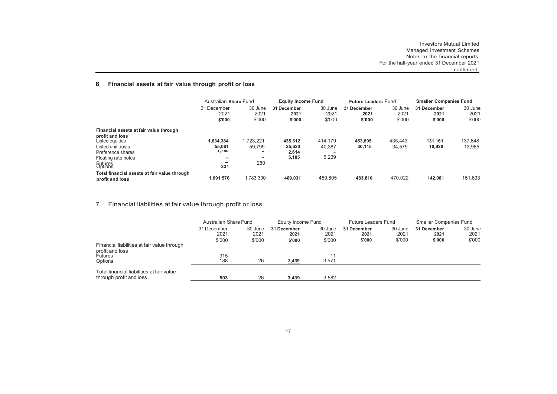# <span id="page-17-0"></span>**6 Financial assets at fair value through profit or loss**

|                                                                 | Australian Share Fund         |                           | <b>Equity Income Fund</b>     |                           | <b>Future Leaders Fund</b>    |                           | <b>Smaller Companies Fund</b> |                           |
|-----------------------------------------------------------------|-------------------------------|---------------------------|-------------------------------|---------------------------|-------------------------------|---------------------------|-------------------------------|---------------------------|
|                                                                 | 31 December<br>2021<br>\$'000 | 30 June<br>2021<br>\$'000 | 31 December<br>2021<br>\$'000 | 30 June<br>2021<br>\$'000 | 31 December<br>2021<br>\$'000 | 30 June<br>2021<br>\$'000 | 31 December<br>2021<br>\$'000 | 30 June<br>2021<br>\$'000 |
| Financial assets at fair value through                          |                               |                           |                               |                           |                               |                           |                               |                           |
| profit and loss<br>Listed equities                              | 1.634.384                     | 1.723.221                 | 435.612                       | 414.179                   | 453.695                       | 435.443                   | 131.161                       | 137.648                   |
| Listed unit trusts                                              | 55,081                        | 59.799                    | 25,620                        | 40.387                    | 30,115                        | 34.579                    | 10,920                        | 13.985                    |
| Preference shares                                               | 1,700                         |                           | 2.614                         |                           |                               |                           |                               |                           |
| Floating rate notes                                             | -                             | ۰                         | 5.185                         | 5,239                     |                               |                           |                               |                           |
| Eutures<br>Options                                              | 331                           | 280                       |                               |                           |                               |                           |                               |                           |
| Total financial assets at fair value through<br>profit and loss | 1.691.576                     | 1783 300                  | 469.031                       | 459.805                   | 483.810                       | 470.022                   | 142.081                       | 151,633                   |

# <span id="page-17-1"></span>7 Financial liabilities at fair value through profit or loss

|                                                                                      | Australian Share Fund         |                           | Equity Income Fund            |                           | <b>Future Leaders Fund</b>    |                           | <b>Smaller Companies Fund</b> |                           |
|--------------------------------------------------------------------------------------|-------------------------------|---------------------------|-------------------------------|---------------------------|-------------------------------|---------------------------|-------------------------------|---------------------------|
|                                                                                      | 31 December<br>2021<br>\$'000 | 30 June<br>2021<br>\$'000 | 31 December<br>2021<br>\$'000 | 30 June<br>2021<br>\$'000 | 31 December<br>2021<br>\$'000 | 30 June<br>2021<br>\$'000 | 31 December<br>2021<br>\$'000 | 30 June<br>2021<br>\$'000 |
| Financial liabilities at fair value through<br>profit and loss<br>Futures<br>Options | 315<br>188                    | 26                        | 3.439                         | 3,571                     |                               |                           |                               |                           |
| Total financial liabilities at fair value<br>through profit and loss                 | 503                           | 26                        | 3.439                         | 3.582                     |                               |                           |                               |                           |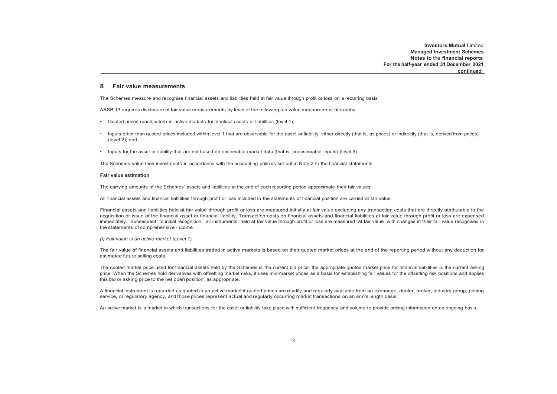## <span id="page-18-0"></span>**8 Fair value measurements**

The Schemes measure and recognise financial assets and liabilities held at fair value through profit or loss on a recurring basis.

AASB 13 requires disclosure of fair value measurements by level of the following fair value measurement hierarchy:

- Quoted prices (unadjusted) in active markets for identical assets or liabilities (level 1);
- Inputs other than quoted prices included within level 1 that are observable for the asset or liability, either directly (that is, as prices) or indirectly (that is, derived from prices) (level 2); and
- Inputs for the asset or liability that are not based on observable market data (that is, unobservable inputs) (level 3).

The Schemes value their investments in accordance with the accounting policies set out in Note 2 to the financial statements.

#### **Fair value estimation**

The carrying amounts of the Schemes' assets and liabilities at the end of each reporting period approximate their fair values.

All financial assets and financial liabilities through profit or loss included in the statements of financial position are carried at fair value.

Financial assets and liabilities held at fair value through profit or loss are measured initially at fair value excluding any transaction costs that are directly attributable to the acquisition or issue of the financial asset or financial liability. Transaction costs on financial assets and financial liabilities at fair value through profit or loss are expensed immediately. Subsequent to initial recognition, all instruments held at fair value through profit or loss are measured at fair value with changes in their fair value recognised in the statements of comprehensive income.

#### *(i) Fair value in an active market (Level 1)*

The fair value of financial assets and liabilities traded in active markets is based on their quoted market prices at the end of the reporting period without any deduction for estimated future selling costs.

The quoted market price used for financial assets held by the Schemes is the current bid price; the appropriate quoted market price for financial liabilities is the current asking price. When the Schemes hold derivatives with offsetting market risks, it uses mid-market prices as a basis for establishing fair values for the offsetting risk positions and applies this bid or asking price to the net open position, as appropriate.

A financial instrument is regarded as quoted in an active market if quoted prices are readily and regularly available from an exchange, dealer, broker, industry group, pricing service, or regulatory agency, and those prices represent actual and regularly occurring market transactions on an arm's length basis.

An active market is a market in which transactions for the asset or liability take place with sufficient frequency and volume to provide pricing information on an ongoing basis.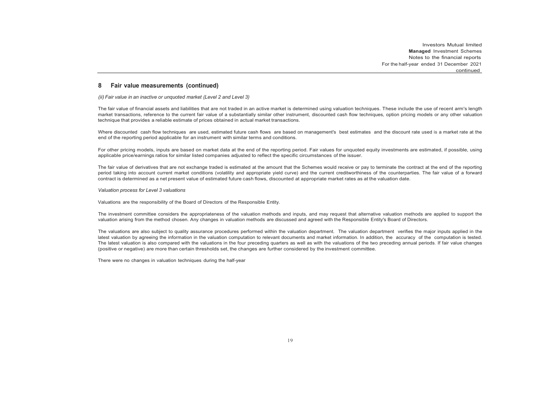### **8 Fair value measurements (continued)**

*(ii) Fair value in an inactive or unquoted market (Level 2 and Level 3)*

The fair value of financial assets and liabilities that are not traded in an active market is determined using valuation techniques. These include the use of recent arm's length market transactions, reference to the current fair value of a substantially similar other instrument, discounted cash flow techniques, option pricing models or any other valuation technique that provides a reliable estimate of prices obtained in actual market transactions.

Where discounted cash flow techniques are used, estimated future cash flows are based on management's best estimates and the discount rate used is a market rate at the end of the reporting period applicable for an instrument with similar terms and conditions.

For other pricing models, inputs are based on market data at the end of the reporting period. Fair values for unquoted equity investments are estimated, if possible, using applicable price/earnings ratios for similar listed companies adjusted to reflect the specific circumstances of the issuer.

The fair value of derivatives that are not exchange traded is estimated at the amount that the Schemes would receive or pay to terminate the contract at the end of the reporting period taking into account current market conditions (volatility and appropriate yield curve) and the current creditworthiness of the counterparties. The fair value of a forward contract is determined as a net present value of estimated future cash flows, discounted at appropriate market rates as at the valuation date.

*Valuation process for Level 3 valuations*

Valuations are the responsibility of the Board of Directors of the Responsible Entity.

The investment committee considers the appropriateness of the valuation methods and inputs, and may request that alternative valuation methods are applied to support the valuation arising from the method chosen. Any changes in valuation methods are discussed and agreed with the Responsible Entity's Board of Directors.

The valuations are also subject to quality assurance procedures performed within the valuation department. The valuation department verifies the major inputs applied in the latest valuation by agreeing the information in the valuation computation to relevant documents and market information. In addition, the accuracy of the computation is tested. The latest valuation is also compared with the valuations in the four preceding quarters as well as with the valuations of the two preceding annual periods. If fair value changes (positive or negative) are more than certain thresholds set, the changes are further considered by the investment committee.

There were no changes in valuation techniques during the half-year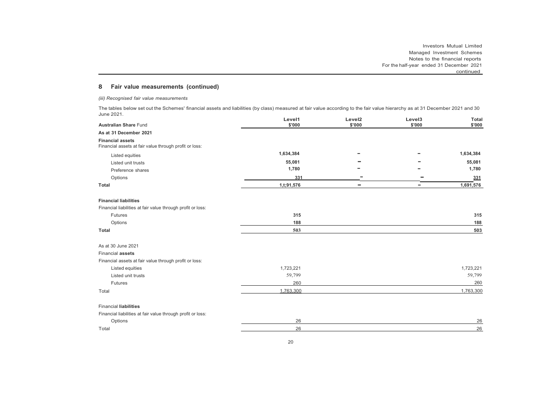# **8 Fair value measurements (continued)**

*(iii) Recognised fair value measurements*

The tables below set out the Schemes' financial assets and liabilities (by class) measured at fair value according to the fair value hierarchy as at 31 December 2021 and 30 June 2021.

| <b>Australian Share Fund</b>                                                      | Level1<br>\$'000 | Level <sub>2</sub><br>\$'000 | Level <sub>3</sub><br>\$'000 | Total<br>\$'000 |
|-----------------------------------------------------------------------------------|------------------|------------------------------|------------------------------|-----------------|
| As at 31 December 2021                                                            |                  |                              |                              |                 |
| <b>Financial assets</b><br>Financial assets at fair value through profit or loss: |                  |                              |                              |                 |
| Listed equities                                                                   | 1,634,384        |                              |                              | 1,634,384       |
| Listed unit trusts                                                                | 55,081           |                              |                              | 55,081          |
| Preference shares                                                                 | 1,780            |                              |                              | 1,780           |
| Options                                                                           | 331              |                              |                              | 331             |
| <b>Total</b>                                                                      | 1,t;91,576       | $\equiv$                     | -                            | 1,691,576       |
| <b>Financial liabilities</b>                                                      |                  |                              |                              |                 |
| Financial liabilities at fair value through profit or loss:                       |                  |                              |                              |                 |
| Futures                                                                           | 315              |                              |                              | 315             |
| Options                                                                           | 188              |                              |                              | 188             |
| <b>Total</b>                                                                      | 503              |                              |                              | 503             |
| As at 30 June 2021                                                                |                  |                              |                              |                 |
| Financial assets                                                                  |                  |                              |                              |                 |
| Financial assets at fair value through profit or loss:                            |                  |                              |                              |                 |
| Listed equities                                                                   | 1,723,221        |                              |                              | 1,723,221       |
| Listed unit trusts                                                                | 59,799           |                              |                              | 59,799          |
| Futures                                                                           | 260              |                              |                              | 260             |
| Total                                                                             | 1.763.300        |                              |                              | 1,763,300       |
| <b>Financial liabilities</b>                                                      |                  |                              |                              |                 |
| Financial liabilities at fair value through profit or loss:                       |                  |                              |                              |                 |
| Options                                                                           | 26               |                              |                              | 26              |
| Total                                                                             | 26               |                              |                              | 26              |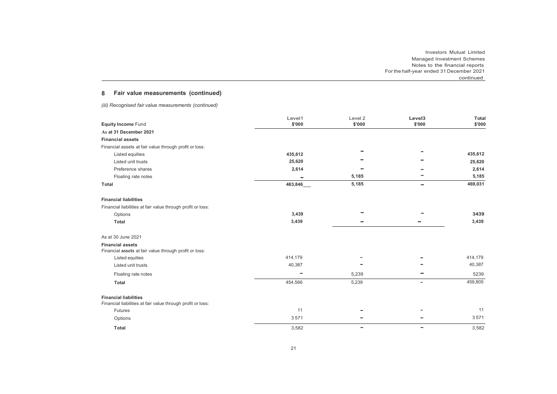# **8 Fair value measurements (continued)**

*(iii) Recognised fair value measurements (continued)*

|                                                                                             | Level1  | Level <sub>2</sub> | Level <sub>3</sub>       | <b>Total</b> |
|---------------------------------------------------------------------------------------------|---------|--------------------|--------------------------|--------------|
| <b>Equity Income Fund</b>                                                                   | \$'000  | \$'000             | \$'000                   | \$'000       |
| As at 31 December 2021                                                                      |         |                    |                          |              |
| <b>Financial assets</b>                                                                     |         |                    |                          |              |
| Financial assets at fair value through profit or loss:                                      |         |                    |                          |              |
| Listed equities                                                                             | 435,612 |                    |                          | 435,612      |
| Listed unit trusts                                                                          | 25,620  |                    |                          | 25,620       |
| Preference shares                                                                           | 2,614   |                    |                          | 2,614        |
| Floating rate notes                                                                         |         | 5,185              |                          | 5,185        |
| <b>Total</b>                                                                                | 463,846 | 5,185              | $\overline{\phantom{a}}$ | 469,031      |
| <b>Financial liabilities</b>                                                                |         |                    |                          |              |
| Financial liabilities at fair value through profit or loss:                                 |         |                    |                          |              |
| Options                                                                                     | 3,439   |                    |                          | 3439         |
| <b>Total</b>                                                                                | 3,439   |                    |                          | 3,439        |
| As at 30 June 2021                                                                          |         |                    |                          |              |
| <b>Financial assets</b>                                                                     |         |                    |                          |              |
| Financial assets at fair value through profit or loss:                                      |         |                    |                          |              |
| Listed equities                                                                             | 414,179 |                    |                          | 414,179      |
| Listed unit trusts                                                                          | 40,387  |                    |                          | 40,387       |
| Floating rate notes                                                                         | ۰       | 5,239              |                          | 5239         |
| Total                                                                                       | 454,566 | 5,239              | $\overline{\phantom{a}}$ | 459,805      |
| <b>Financial liabilities</b><br>Financial liabilities at fair value through profit or loss: |         |                    |                          |              |
| Futures                                                                                     | 11      |                    |                          | 11           |
| Options                                                                                     | 3571    |                    |                          | 3571         |
|                                                                                             |         |                    |                          |              |
| <b>Total</b>                                                                                | 3,582   |                    |                          | 3,582        |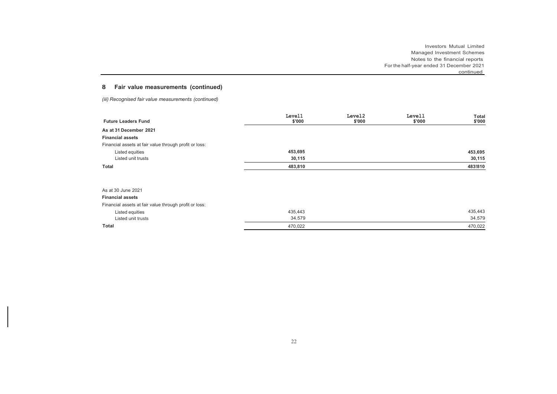# **8 Fair value measurements (continued)**

*(iii) Recognised fair value measurements (continued)*

| <b>Future Leaders Fund</b>                             | Level1<br>\$'000 | Level2<br>\$'000 | Levell<br>\$'000 | Total<br>\$'000 |
|--------------------------------------------------------|------------------|------------------|------------------|-----------------|
|                                                        |                  |                  |                  |                 |
| As at 31 December 2021                                 |                  |                  |                  |                 |
| <b>Financial assets</b>                                |                  |                  |                  |                 |
| Financial assets at fair value through profit or loss: |                  |                  |                  |                 |
| Listed equities                                        | 453,695          |                  |                  | 453,695         |
| Listed unit trusts                                     | 30,115           |                  |                  | 30,115          |
| Total                                                  | 483,810          |                  |                  | 483!810         |
|                                                        |                  |                  |                  |                 |
|                                                        |                  |                  |                  |                 |
| As at 30 June 2021                                     |                  |                  |                  |                 |
| <b>Financial assets</b>                                |                  |                  |                  |                 |
| Financial assets at fair value through profit or loss: |                  |                  |                  |                 |
| Listed equities                                        | 435,443          |                  |                  | 435,443         |
| Listed unit trusts                                     | 34,579           |                  |                  | 34,579          |
| Total                                                  | 470,022          |                  |                  | 470,022         |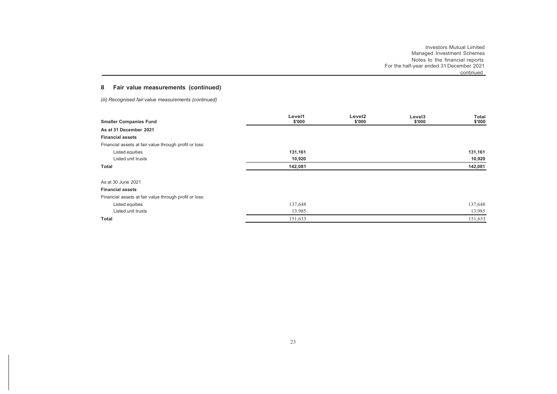# **8 Fair value measurements (continued)**

*(iii) Recognised fair value measurements (continued)*

| <b>Smaller Companies Fund</b>                          | Level1<br>\$'000 | Level <sub>2</sub><br>\$'000 | Level3<br>\$'000 | <b>Total</b><br>\$'000 |
|--------------------------------------------------------|------------------|------------------------------|------------------|------------------------|
| As at 31 December 2021                                 |                  |                              |                  |                        |
| <b>Financial assets</b>                                |                  |                              |                  |                        |
| Financial assets at fair value through profit or loss: |                  |                              |                  |                        |
| Listed equities                                        | 131,161          |                              |                  | 131,161                |
| Listed unit trusts                                     | 10,920           |                              |                  | 10,920                 |
| <b>Total</b>                                           | 142,081          |                              |                  | 142,081                |
|                                                        |                  |                              |                  |                        |
| As at 30 June 2021                                     |                  |                              |                  |                        |
| <b>Financial assets</b>                                |                  |                              |                  |                        |
| Financial assets at fair value through profit or loss: |                  |                              |                  |                        |
| Listed equities                                        | 137,648          |                              |                  | 137,648                |
| Listed unit trusts                                     | 13,985           |                              |                  | 13,985                 |
| Total                                                  | 151,633          |                              |                  | 151,633                |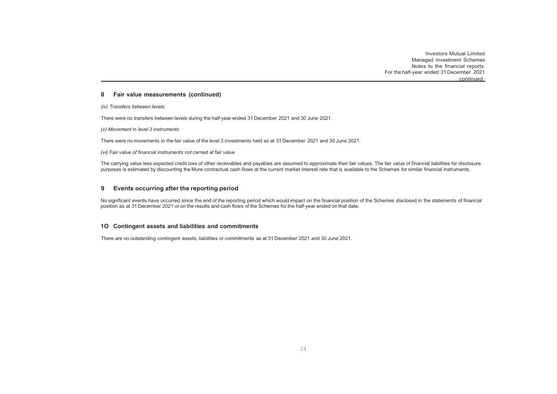## **8 Fair value measurements (continued)**

#### *(iv) Transfers between levels*

There were no transfers between levels during the half-year ended 31 December 2021 and 30 June 2021.

*(v) Movement in level 3 instruments*

There were no movements in the fair value of the level 3 investments held as at 31 December 2021 and 30 June 2021.

*(vi) Fair value of financial instruments not carried at fair value*

The carrying value less expected credit loss of other receivables and payables are assumed to approximate their fair values. The fair value of financial liabilities for disclosure purposes is estimated by discounting the Mure contractual cash flows at the current market interest rate that is available to the Schemes for similar financial instruments.

## <span id="page-24-0"></span>**9 Events occurring after the reporting period**

No significant events have occurred since the end of the reporting period which would impact on the financial position of the Schemes disclosed in the statements of financial position as at 31 December 2021 or on the results and cash flows of the Schemes for the half-year ended on that date.

## **1O Contingent assets and liabilities and commitments**

There are no outstanding contingent assets, liabilities or commitments as at 31 December 2021 and 30 June 2021.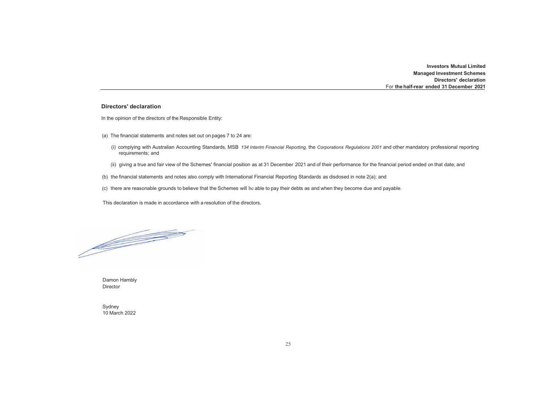**Investors Mutual Limited Managed Investment Schemes Directors' declaration** For **the half-rear ended 31 December 2021**

#### **Directors' declaration**

In the opinion of the directors of the Responsible Entity:

- (a) The financial statements and notes set out on pages 7 to 24 are:
	- (i) complying with Australian Accounting Standards, MSB *134 Interim Financial Reporting,* the *Corporations Regulations 2001* and other mandatory professional reporting requirements; and
	- (ii) giving a true and fair view of the Schemes' financial position as at 31 December 2021 and of their performance for the financial period ended on that date; and
- (b) the financial statements and notes also comply with International Financial Reporting Standards as disdosed in note 2(a); and
- (c) there are reasonable grounds to believe that the Schemes will be able to pay their debts as and when they become due and payable.

This declaration is made in accordance with a resolution of the directors.

<u> de la compa</u>

Damon Hambly Director

Sydney 10 March 2022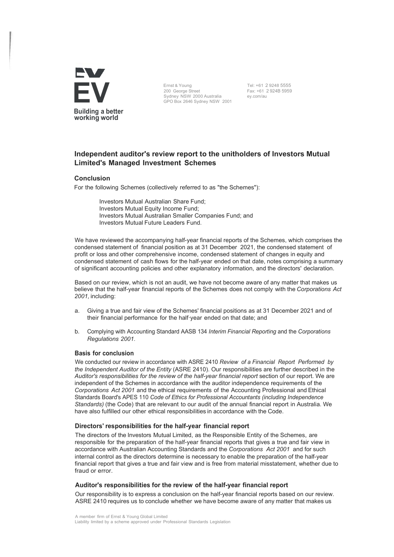

Ernst & Young 200 George Street Sydney NSW 2000 Australia GPO Box 2646 Sydney NSW 2001 Tel: +61 2 9248 5555 Fax: +61 2 924B 5959 ey.com/au

# **Independent auditor's review report to the unitholders of Investors Mutual Limited's Managed Investment Schemes**

# **Conclusion**

For the following Schemes (collectively referred to as "the Schemes"):

Investors Mutual Australian Share Fund; Investors Mutual Equity Income Fund; Investors Mutual Australian Smaller Companies Fund; and Investors Mutual Future Leaders Fund.

We have reviewed the accompanying half-year financial reports of the Schemes, which comprises the condensed statement of financial position as at 31 December 2021, the condensed statement of profit or loss and other comprehensive income, condensed statement of changes in equity and condensed statement of cash flows for the half-year ended on that date, notes comprising a summary of significant accounting policies and other explanatory information, and the directors' declaration.

Based on our review, which is not an audit, we have not become aware of any matter that makes us believe that the half-year financial reports of the Schemes does not comply with the *Corporations Act 2001,* including:

- a. Giving a true and fair view of the Schemes' financial positions as at 31 December 2021 and of their financial performance for the half·year ended on that date; and
- b. Complying with Accounting Standard AASB 134 *Interim Financial Reporting* and the *Corporations Regulations 2001.*

## **Basis for conclusion**

We conducted our review in accordance with ASRE 2410 *Review of a Financial Report Performed by the Independent Auditor of the Entity* (ASRE 2410). Our responsibilities are further described in the *Auditor's responsibilities for the review of the half-year financial report* section of our report. We are independent of the Schemes in accordance with the auditor independence requirements of the *Corporations Act 2001* and the ethical requirements of the Accounting Professional and Ethical Standards Board's APES 110 *Code of Ethics for Professional Accountants (including Independence Standards)* (the Code) that are relevant to our audit of the annual financial report in Australia. We have also fulfilled our other ethical responsibilities in accordance with the Code.

## **Directors' responsibilities for the half-year financial report**

The directors of the Investors Mutual Limited, as the Responsible Entity of the Schemes, are responsible for the preparation of the half-year financial reports that gives a true and fair view in accordance with Australian Accounting Standards and the *Corporations Act 2001* and for such internal control as the directors determine is necessary to enable the preparation of the half-year financial report that gives a true and fair view and is free from material misstatement, whether due to fraud or error.

## **Auditor's responsibilities for the review of the half-year financial report**

Our responsibility is to express a conclusion on the half-year financial reports based on our review. ASRE 2410 requires us to conclude whether we have become aware of any matter that makes us